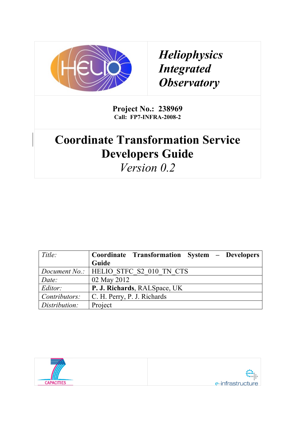

*Heliophysics Integrated Observatory*

**Project No.: 238969 Call: FP7-INFRA-2008-2**

## **Coordinate Transformation Service Developers Guide**

*Version 0.2*

| Title:        | Coordinate Transformation System - Developers   |
|---------------|-------------------------------------------------|
|               | Guide                                           |
|               | <i>Document No.:</i>   HELIO STFC S2 010 TN CTS |
| Date:         | 02 May 2012                                     |
| Editor:       | P. J. Richards, RALSpace, UK                    |
| Contributors: | C. H. Perry, P. J. Richards                     |
| Distribution: | Project                                         |

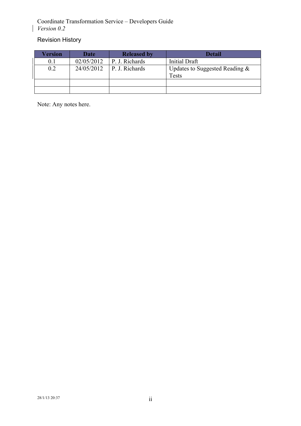## Revision History

 $\mathsf{I}$ 

| Version | <b>Date</b> | <b>Released by</b>     | Detail                                     |
|---------|-------------|------------------------|--------------------------------------------|
| $0.1\,$ | 02/05/2012  | P. J. Richards         | Initial Draft                              |
| 0.2     | 24/05/2012  | $\vert$ P. J. Richards | Updates to Suggested Reading $\&$<br>Tests |
|         |             |                        |                                            |
|         |             |                        |                                            |

Note: Any notes here.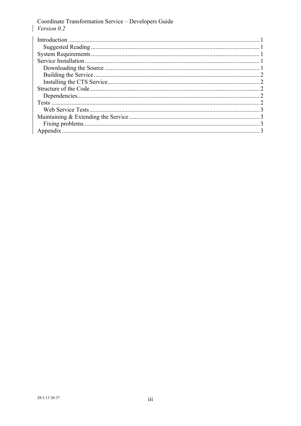$\mathbf{I}$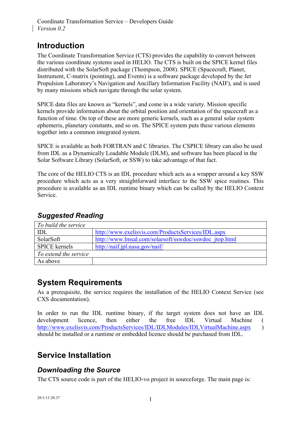## **Introduction**

The Coordinate Transformation Service (CTS) provides the capability to convert between the various coordinate systems used in HELIO. The CTS is built on the SPICE kernel files distributed with the SolarSoft package (Thompson, 2008). SPICE (Spacecraft, Planet, Instrument, C-matrix (pointing), and Events) is a software package developed by the Jet Propulsion Laboratory's Navigation and Ancillary Information Facility (NAIF), and is used by many missions which navigate through the solar system.

SPICE data files are known as "kernels", and come in a wide variety. Mission specific kernels provide information about the orbital position and orientation of the spacecraft as a function of time. On top of these are more generic kernels, such as a general solar system ephemeris, planetary constants, and so on. The SPICE system puts these various elements together into a common integrated system.

SPICE is available as both FORTRAN and C libraries. The CSPICE library can also be used from IDL as a Dynamically Loadable Module (DLM), and software has been placed in the Solar Software Library (SolarSoft, or SSW) to take advantage of that fact.

The core of the HELIO CTS is an IDL procedure which acts as a wrapper around a key SSW procedure which acts as a very straightforward interface to the SSW spice routines. This procedure is available as an IDL runtime binary which can be called by the HELIO Context Service.

| To build the service  |                                                        |
|-----------------------|--------------------------------------------------------|
| IDL                   | http://www.exelisvis.com/ProductsServices/IDL.aspx     |
| SolarSoft             | http://www.lmsal.com/solarsoft/sswdoc/sswdoc_jtop.html |
| <b>SPICE</b> kernels  | http://naif.jpl.nasa.gov/naif/                         |
| To extend the service |                                                        |
| As above              |                                                        |

#### *Suggested Reading*

## **System Requirements**

As a prerequisite, the service requires the installation of the HELIO Context Service (see CXS documentation).

In order to run the IDL runtime binary, if the target system does not have an IDL development licence, then either the free IDL Virtual Machine ( http://www.exelisvis.com/ProductsServices/IDL/IDLModules/IDLVirtualMachine.aspx ) should be installed or a runtime or embedded licence should be purchased from IDL.

## **Service Installation**

#### *Downloading the Source*

The CTS source code is part of the HELIO-vo project in sourceforge. The main page is: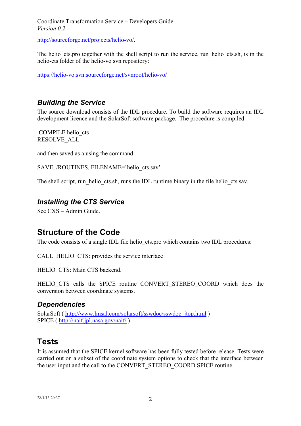http://sourceforge.net/projects/helio-vo/.

The helio cts.pro together with the shell script to run the service, run helio cts.sh, is in the helio-cts folder of the helio-vo svn repository:

https://helio-vo.svn.sourceforge.net/svnroot/helio-vo/

#### *Building the Service*

The source download consists of the IDL procedure. To build the software requires an IDL development licence and the SolarSoft software package. The procedure is compiled:

.COMPILE helio\_cts RESOLVE\_ALL

and then saved as a using the command:

SAVE, /ROUTINES, FILENAME='helio\_cts.sav'

The shell script, run helio cts.sh, runs the IDL runtime binary in the file helio cts.say.

#### *Installing the CTS Service*

See CXS – Admin Guide.

#### **Structure of the Code**

The code consists of a single IDL file helio\_cts.pro which contains two IDL procedures:

CALL\_HELIO\_CTS: provides the service interface

HELIO CTS: Main CTS backend.

HELIO CTS calls the SPICE routine CONVERT STEREO COORD which does the conversion between coordinate systems.

#### *Dependencies*

SolarSoft ( http://www.lmsal.com/solarsoft/sswdoc/sswdoc\_jtop.html ) SPICE ( http://naif.jpl.nasa.gov/naif/ )

#### **Tests**

It is assumed that the SPICE kernel software has been fully tested before release. Tests were carried out on a subset of the coordinate system options to check that the interface between the user input and the call to the CONVERT\_STEREO\_COORD SPICE routine.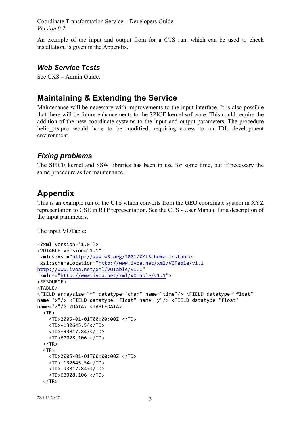An example of the input and output from for a CTS run, which can be used to check installation, is given in the Appendix.

#### *Web Service Tests*

See CXS – Admin Guide.

## **Maintaining & Extending the Service**

Maintenance will be necessary with improvements to the input interface. It is also possible that there will be future enhancements to the SPICE kernel software. This could require the addition of the new coordinate systems to the input and output parameters. The procedure helio cts.pro would have to be modified, requiring access to an IDL development environment.

#### *Fixing problems*

The SPICE kernel and SSW libraries has been in use for some time, but if necessary the same procedure as for maintenance.

## **Appendix**

This is an example run of the CTS which converts from the GEO coordinate system in XYZ representation to GSE in RTP representation. See the CTS - User Manual for a description of the input parameters.

The input VOTable:

```
<?xml	version='1.0'?>
<VOTABLE	version="1.1"
xmlns:xsi="http://www.w3.org/2001/XMLSchema-instance"
xsi:schemaLocation="http://www.ivoa.net/xml/VOTable/v1.1	
http://www.ivoa.net/xml/VOTable/v1.1"
 xmlns="http://www.ivoa.net/xml/VOTable/v1.1">
<RESOURCE>
<TABLE>
<FIELD	arraysize="*"	datatype="char"	name="time"/>	<FIELD	datatype="float"	
name="x"/> <FIELD datatype="float" name="y"/> <FIELD datatype="float"
name="z"/>	<DATA>	<TABLEDATA>
  \langle TR \rangle				<TD>2005-01-01T00:00:00Z	</TD>
    				<TD>-132645.54</TD>
    				<TD>-93817.847</TD>
    				<TD>60028.106	</TD>
  \langle/TR\rangle\langle TR \rangle				<TD>2005-01-01T00:00:00Z	</TD>
    				<TD>-132645.54</TD>
    				<TD>-93817.847</TD>
    				<TD>60028.106	</TD>
  \langle/TR\rangle
```